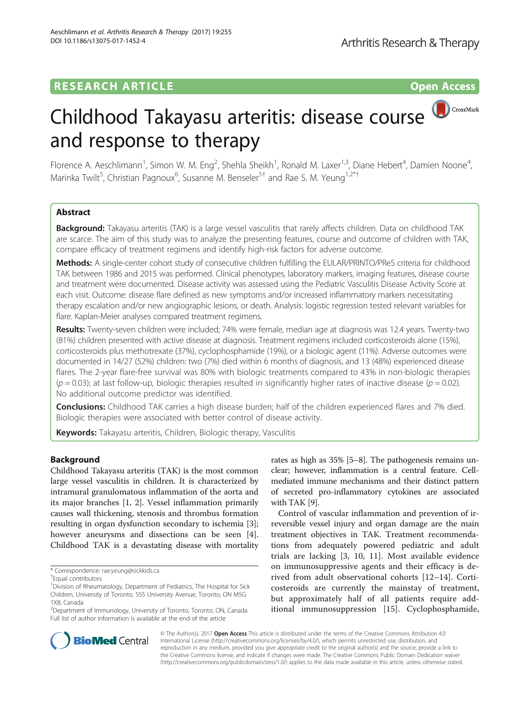# **RESEARCH ARTICLE Example 2014 12:30 The Contract of Contract ACCESS**

# CrossMark Childhood Takayasu arteritis: disease course and response to therapy

Florence A. Aeschlimann<sup>1</sup>, Simon W. M. Eng<sup>2</sup>, Shehla Sheikh<sup>1</sup>, Ronald M. Laxer<sup>1,3</sup>, Diane Hebert<sup>4</sup>, Damien Noone<sup>4</sup> , Marinka Twilt<sup>5</sup>, Christian Pagnoux<sup>6</sup>, Susanne M. Benseler<sup>5†</sup> and Rae S. M. Yeung<sup>1,2\*†</sup>

# Abstract

Background: Takayasu arteritis (TAK) is a large vessel vasculitis that rarely affects children. Data on childhood TAK are scarce. The aim of this study was to analyze the presenting features, course and outcome of children with TAK, compare efficacy of treatment regimens and identify high-risk factors for adverse outcome.

Methods: A single-center cohort study of consecutive children fulfilling the EULAR/PRINTO/PReS criteria for childhood TAK between 1986 and 2015 was performed. Clinical phenotypes, laboratory markers, imaging features, disease course and treatment were documented. Disease activity was assessed using the Pediatric Vasculitis Disease Activity Score at each visit. Outcome: disease flare defined as new symptoms and/or increased inflammatory markers necessitating therapy escalation and/or new angiographic lesions, or death. Analysis: logistic regression tested relevant variables for flare. Kaplan-Meier analyses compared treatment regimens.

Results: Twenty-seven children were included; 74% were female, median age at diagnosis was 12.4 years. Twenty-two (81%) children presented with active disease at diagnosis. Treatment regimens included corticosteroids alone (15%), corticosteroids plus methotrexate (37%), cyclophosphamide (19%), or a biologic agent (11%). Adverse outcomes were documented in 14/27 (52%) children: two (7%) died within 6 months of diagnosis, and 13 (48%) experienced disease flares. The 2-year flare-free survival was 80% with biologic treatments compared to 43% in non-biologic therapies  $(p = 0.03)$ ; at last follow-up, biologic therapies resulted in significantly higher rates of inactive disease ( $p = 0.02$ ). No additional outcome predictor was identified.

Conclusions: Childhood TAK carries a high disease burden; half of the children experienced flares and 7% died. Biologic therapies were associated with better control of disease activity.

**Keywords:** Takayasu arteritis, Children, Biologic therapy, Vasculitis

# Background

Childhood Takayasu arteritis (TAK) is the most common large vessel vasculitis in children. It is characterized by intramural granulomatous inflammation of the aorta and its major branches [[1, 2](#page-8-0)]. Vessel inflammation primarily causes wall thickening, stenosis and thrombus formation resulting in organ dysfunction secondary to ischemia [\[3](#page-8-0)]; however aneurysms and dissections can be seen [\[4](#page-8-0)]. Childhood TAK is a devastating disease with mortality

rates as high as 35% [\[5](#page-8-0)–[8](#page-8-0)]. The pathogenesis remains unclear; however, inflammation is a central feature. Cellmediated immune mechanisms and their distinct pattern of secreted pro-inflammatory cytokines are associated with TAK [\[9\]](#page-8-0).

Control of vascular inflammation and prevention of irreversible vessel injury and organ damage are the main treatment objectives in TAK. Treatment recommendations from adequately powered pediatric and adult trials are lacking [[3, 10, 11](#page-8-0)]. Most available evidence on immunosuppressive agents and their efficacy is derived from adult observational cohorts [[12](#page-8-0)–[14\]](#page-8-0). Corticosteroids are currently the mainstay of treatment, but approximately half of all patients require additional immunosuppression [[15](#page-8-0)]. Cyclophosphamide,



© The Author(s). 2017 **Open Access** This article is distributed under the terms of the Creative Commons Attribution 4.0 International License [\(http://creativecommons.org/licenses/by/4.0/](http://creativecommons.org/licenses/by/4.0/)), which permits unrestricted use, distribution, and reproduction in any medium, provided you give appropriate credit to the original author(s) and the source, provide a link to the Creative Commons license, and indicate if changes were made. The Creative Commons Public Domain Dedication waiver [\(http://creativecommons.org/publicdomain/zero/1.0/](http://creativecommons.org/publicdomain/zero/1.0/)) applies to the data made available in this article, unless otherwise stated.

<sup>\*</sup> Correspondence: [rae.yeung@sickkids.ca](mailto:rae.yeung@sickkids.ca) †

Equal contributors

<sup>&</sup>lt;sup>1</sup> Division of Rheumatology, Department of Pediatrics, The Hospital for Sick Children, University of Toronto, 555 University Avenue, Toronto, ON M5G 1X8, Canada

<sup>&</sup>lt;sup>2</sup>Department of Immunology, University of Toronto, Toronto, ON, Canada Full list of author information is available at the end of the article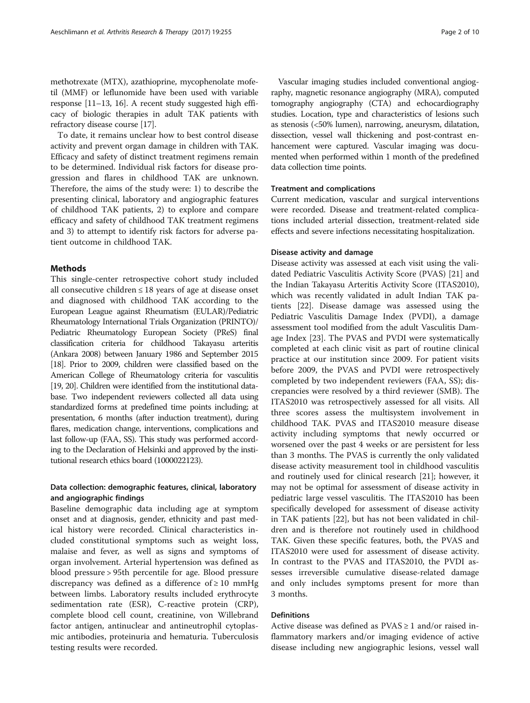methotrexate (MTX), azathioprine, mycophenolate mofetil (MMF) or leflunomide have been used with variable response [\[11](#page-8-0)–[13](#page-8-0), [16\]](#page-8-0). A recent study suggested high efficacy of biologic therapies in adult TAK patients with refractory disease course [[17](#page-8-0)].

To date, it remains unclear how to best control disease activity and prevent organ damage in children with TAK. Efficacy and safety of distinct treatment regimens remain to be determined. Individual risk factors for disease progression and flares in childhood TAK are unknown. Therefore, the aims of the study were: 1) to describe the presenting clinical, laboratory and angiographic features of childhood TAK patients, 2) to explore and compare efficacy and safety of childhood TAK treatment regimens and 3) to attempt to identify risk factors for adverse patient outcome in childhood TAK.

### Methods

This single-center retrospective cohort study included all consecutive children  $\leq 18$  years of age at disease onset and diagnosed with childhood TAK according to the European League against Rheumatism (EULAR)/Pediatric Rheumatology International Trials Organization (PRINTO)/ Pediatric Rheumatology European Society (PReS) final classification criteria for childhood Takayasu arteritis (Ankara 2008) between January 1986 and September 2015 [[18\]](#page-8-0). Prior to 2009, children were classified based on the American College of Rheumatology criteria for vasculitis [[19, 20\]](#page-8-0). Children were identified from the institutional database. Two independent reviewers collected all data using standardized forms at predefined time points including; at presentation, 6 months (after induction treatment), during flares, medication change, interventions, complications and last follow-up (FAA, SS). This study was performed according to the Declaration of Helsinki and approved by the institutional research ethics board (1000022123).

## Data collection: demographic features, clinical, laboratory and angiographic findings

Baseline demographic data including age at symptom onset and at diagnosis, gender, ethnicity and past medical history were recorded. Clinical characteristics included constitutional symptoms such as weight loss, malaise and fever, as well as signs and symptoms of organ involvement. Arterial hypertension was defined as blood pressure > 95th percentile for age. Blood pressure discrepancy was defined as a difference of  $\geq 10$  mmHg between limbs. Laboratory results included erythrocyte sedimentation rate (ESR), C-reactive protein (CRP), complete blood cell count, creatinine, von Willebrand factor antigen, antinuclear and antineutrophil cytoplasmic antibodies, proteinuria and hematuria. Tuberculosis testing results were recorded.

Vascular imaging studies included conventional angiography, magnetic resonance angiography (MRA), computed tomography angiography (CTA) and echocardiography studies. Location, type and characteristics of lesions such as stenosis (<50% lumen), narrowing, aneurysm, dilatation, dissection, vessel wall thickening and post-contrast enhancement were captured. Vascular imaging was documented when performed within 1 month of the predefined data collection time points.

### Treatment and complications

Current medication, vascular and surgical interventions were recorded. Disease and treatment-related complications included arterial dissection, treatment-related side effects and severe infections necessitating hospitalization.

### Disease activity and damage

Disease activity was assessed at each visit using the validated Pediatric Vasculitis Activity Score (PVAS) [\[21](#page-8-0)] and the Indian Takayasu Arteritis Activity Score (ITAS2010), which was recently validated in adult Indian TAK patients [\[22](#page-8-0)]. Disease damage was assessed using the Pediatric Vasculitis Damage Index (PVDI), a damage assessment tool modified from the adult Vasculitis Damage Index [[23\]](#page-8-0). The PVAS and PVDI were systematically completed at each clinic visit as part of routine clinical practice at our institution since 2009. For patient visits before 2009, the PVAS and PVDI were retrospectively completed by two independent reviewers (FAA, SS); discrepancies were resolved by a third reviewer (SMB). The ITAS2010 was retrospectively assessed for all visits. All three scores assess the multisystem involvement in childhood TAK. PVAS and ITAS2010 measure disease activity including symptoms that newly occurred or worsened over the past 4 weeks or are persistent for less than 3 months. The PVAS is currently the only validated disease activity measurement tool in childhood vasculitis and routinely used for clinical research [[21](#page-8-0)]; however, it may not be optimal for assessment of disease activity in pediatric large vessel vasculitis. The ITAS2010 has been specifically developed for assessment of disease activity in TAK patients [\[22](#page-8-0)], but has not been validated in children and is therefore not routinely used in childhood TAK. Given these specific features, both, the PVAS and ITAS2010 were used for assessment of disease activity. In contrast to the PVAS and ITAS2010, the PVDI assesses irreversible cumulative disease-related damage and only includes symptoms present for more than 3 months.

### **Definitions**

Active disease was defined as  $PVAS \ge 1$  and/or raised inflammatory markers and/or imaging evidence of active disease including new angiographic lesions, vessel wall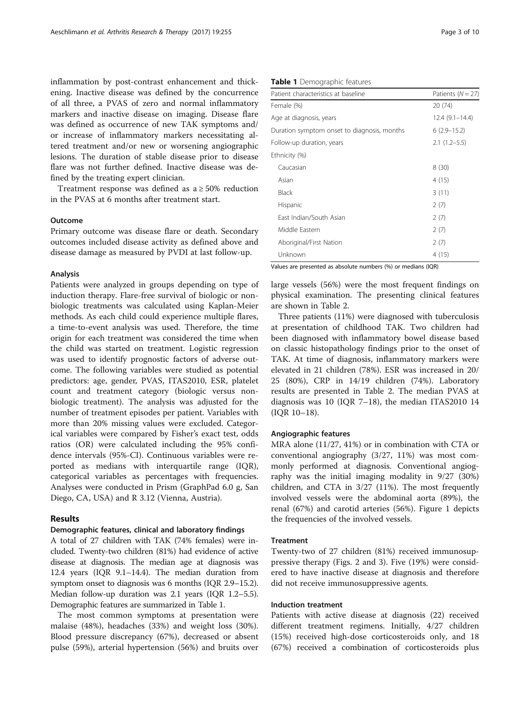inflammation by post-contrast enhancement and thickening. Inactive disease was defined by the concurrence of all three, a PVAS of zero and normal inflammatory markers and inactive disease on imaging. Disease flare was defined as occurrence of new TAK symptoms and/ or increase of inflammatory markers necessitating altered treatment and/or new or worsening angiographic lesions. The duration of stable disease prior to disease flare was not further defined. Inactive disease was defined by the treating expert clinician.

Treatment response was defined as  $a \ge 50\%$  reduction in the PVAS at 6 months after treatment start.

### Outcome

Primary outcome was disease flare or death. Secondary outcomes included disease activity as defined above and disease damage as measured by PVDI at last follow-up.

### Analysis

Patients were analyzed in groups depending on type of induction therapy. Flare-free survival of biologic or nonbiologic treatments was calculated using Kaplan-Meier methods. As each child could experience multiple flares, a time-to-event analysis was used. Therefore, the time origin for each treatment was considered the time when the child was started on treatment. Logistic regression was used to identify prognostic factors of adverse outcome. The following variables were studied as potential predictors: age, gender, PVAS, ITAS2010, ESR, platelet count and treatment category (biologic versus nonbiologic treatment). The analysis was adjusted for the number of treatment episodes per patient. Variables with more than 20% missing values were excluded. Categorical variables were compared by Fisher's exact test, odds ratios (OR) were calculated including the 95% confidence intervals (95%-CI). Continuous variables were reported as medians with interquartile range (IQR), categorical variables as percentages with frequencies. Analyses were conducted in Prism (GraphPad 6.0 g, San Diego, CA, USA) and R 3.12 (Vienna, Austria).

### Results

### Demographic features, clinical and laboratory findings

A total of 27 children with TAK (74% females) were included. Twenty-two children (81%) had evidence of active disease at diagnosis. The median age at diagnosis was 12.4 years (IQR 9.1–14.4). The median duration from symptom onset to diagnosis was 6 months (IQR 2.9–15.2). Median follow-up duration was 2.1 years (IQR 1.2–5.5). Demographic features are summarized in Table 1.

The most common symptoms at presentation were malaise (48%), headaches (33%) and weight loss (30%). Blood pressure discrepancy (67%), decreased or absent pulse (59%), arterial hypertension (56%) and bruits over

|  |  | Table 1 Demographic features |  |
|--|--|------------------------------|--|
|--|--|------------------------------|--|

| Patient characteristics at baseline         | Patients $(N = 27)$ |
|---------------------------------------------|---------------------|
| Female (%)                                  | 20(74)              |
| Age at diagnosis, years                     | $12.4(9.1-14.4)$    |
| Duration symptom onset to diagnosis, months | $6(2.9-15.2)$       |
| Follow-up duration, years                   | $2.1(1.2-5.5)$      |
| Ethnicity (%)                               |                     |
| Caucasian                                   | 8(30)               |
| Asian                                       | 4 (15)              |
| <b>Black</b>                                | 3(11)               |
| Hispanic                                    | 2(7)                |
| <b>Fast Indian/South Asian</b>              | 2(7)                |
| Middle Eastern                              | 2(7)                |
| Aboriginal/First Nation                     | 2(7)                |
| Unknown                                     | 4 (15)              |

Values are presented as absolute numbers (%) or medians (IQR)

large vessels (56%) were the most frequent findings on physical examination. The presenting clinical features are shown in Table [2](#page-3-0).

Three patients (11%) were diagnosed with tuberculosis at presentation of childhood TAK. Two children had been diagnosed with inflammatory bowel disease based on classic histopathology findings prior to the onset of TAK. At time of diagnosis, inflammatory markers were elevated in 21 children (78%). ESR was increased in 20/ 25 (80%), CRP in 14/19 children (74%). Laboratory results are presented in Table [2.](#page-3-0) The median PVAS at diagnosis was 10 (IQR 7–18), the median ITAS2010 14 (IQR 10–18).

### Angiographic features

MRA alone (11/27, 41%) or in combination with CTA or conventional angiography (3/27, 11%) was most commonly performed at diagnosis. Conventional angiography was the initial imaging modality in 9/27 (30%) children, and CTA in 3/27 (11%). The most frequently involved vessels were the abdominal aorta (89%), the renal (67%) and carotid arteries (56%). Figure [1](#page-4-0) depicts the frequencies of the involved vessels.

#### Treatment

Twenty-two of 27 children (81%) received immunosuppressive therapy (Figs. [2](#page-4-0) and [3\)](#page-5-0). Five (19%) were considered to have inactive disease at diagnosis and therefore did not receive immunosuppressive agents.

### Induction treatment

Patients with active disease at diagnosis (22) received different treatment regimens. Initially, 4/27 children (15%) received high-dose corticosteroids only, and 18 (67%) received a combination of corticosteroids plus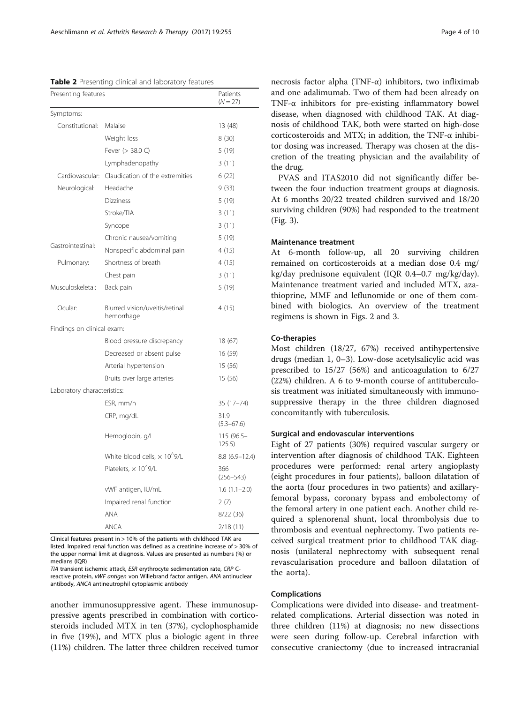### <span id="page-3-0"></span>Table 2 Presenting clinical and laboratory features

| Presenting features         | Patients<br>$(N = 27)$                                             |                        |
|-----------------------------|--------------------------------------------------------------------|------------------------|
| Symptoms:                   |                                                                    |                        |
| Constitutional:             | Malaise                                                            | 13 (48)                |
|                             | Weight loss                                                        | 8(30)                  |
|                             | Fever (> 38.0 C)                                                   | 5(19)                  |
|                             | Lymphadenopathy                                                    | 3(11)                  |
| Cardiovascular:             | Claudication of the extremities                                    | 6(22)                  |
| Neurological:               | Headache                                                           | 9(33)                  |
|                             | <b>Dizziness</b>                                                   | 5(19)                  |
|                             | Stroke/TIA                                                         | 3(11)                  |
|                             | Syncope                                                            | 3(11)                  |
| Gastrointestinal:           | Chronic nausea/vomiting                                            | 5(19)                  |
|                             | Nonspecific abdominal pain                                         | 4 (15)                 |
| Pulmonary:                  | Shortness of breath                                                | 4 (15)                 |
|                             | Chest pain                                                         | 3(11)                  |
| Musculoskeletal:            | Back pain                                                          | 5(19)                  |
| Ocular:                     | Blurred vision/uveitis/retinal<br>hemorrhage                       | 4 (15)                 |
| Findings on clinical exam:  |                                                                    |                        |
|                             | Blood pressure discrepancy                                         | 18 (67)                |
|                             | Decreased or absent pulse                                          | 16 (59)                |
|                             | Arterial hypertension                                              | 15(56)                 |
|                             | Bruits over large arteries                                         | 15 (56)                |
| Laboratory characteristics: |                                                                    |                        |
|                             | ESR, mm/h                                                          | $35(17-74)$            |
|                             | CRP, mg/dL                                                         | 31.9<br>$(5.3 - 67.6)$ |
|                             | Hemoglobin, g/L                                                    | $115(96.5 -$<br>125.5) |
|                             | White blood cells, $\times$ 10 <sup><math>\degree</math></sup> 9/L | $8.8(6.9-12.4)$        |
|                             | Platelets, $\times$ 10 <sup><math>\degree</math></sup> 9/L         | 366<br>$(256 - 543)$   |
|                             | vWF antigen, IU/mL                                                 | $1.6(1.1-2.0)$         |
|                             | Impaired renal function                                            | 2(7)                   |
|                             | <b>ANA</b>                                                         | 8/22(36)               |
|                             | <b>ANCA</b>                                                        | 2/18(11)               |

Clinical features present in > 10% of the patients with childhood TAK are listed. Impaired renal function was defined as a creatinine increase of > 30% of the upper normal limit at diagnosis. Values are presented as numbers (%) or medians (IQR)

TIA transient ischemic attack, ESR erythrocyte sedimentation rate, CRP Creactive protein, vWF antigen von Willebrand factor antigen. ANA antinuclear antibody, ANCA antineutrophil cytoplasmic antibody

another immunosuppressive agent. These immunosuppressive agents prescribed in combination with corticosteroids included MTX in ten (37%), cyclophosphamide in five (19%), and MTX plus a biologic agent in three (11%) children. The latter three children received tumor necrosis factor alpha (TNF-α) inhibitors, two infliximab and one adalimumab. Two of them had been already on TNF-α inhibitors for pre-existing inflammatory bowel disease, when diagnosed with childhood TAK. At diagnosis of childhood TAK, both were started on high-dose corticosteroids and MTX; in addition, the TNF-α inhibitor dosing was increased. Therapy was chosen at the discretion of the treating physician and the availability of the drug.

PVAS and ITAS2010 did not significantly differ between the four induction treatment groups at diagnosis. At 6 months 20/22 treated children survived and 18/20 surviving children (90%) had responded to the treatment (Fig. [3](#page-5-0)).

### Maintenance treatment

At 6-month follow-up, all 20 surviving children remained on corticosteroids at a median dose 0.4 mg/ kg/day prednisone equivalent (IQR 0.4–0.7 mg/kg/day). Maintenance treatment varied and included MTX, azathioprine, MMF and leflunomide or one of them combined with biologics. An overview of the treatment regimens is shown in Figs. [2](#page-4-0) and [3](#page-5-0).

### Co-therapies

Most children (18/27, 67%) received antihypertensive drugs (median 1, 0–3). Low-dose acetylsalicylic acid was prescribed to 15/27 (56%) and anticoagulation to 6/27 (22%) children. A 6 to 9-month course of antituberculosis treatment was initiated simultaneously with immunosuppressive therapy in the three children diagnosed concomitantly with tuberculosis.

### Surgical and endovascular interventions

Eight of 27 patients (30%) required vascular surgery or intervention after diagnosis of childhood TAK. Eighteen procedures were performed: renal artery angioplasty (eight procedures in four patients), balloon dilatation of the aorta (four procedures in two patients) and axillaryfemoral bypass, coronary bypass and embolectomy of the femoral artery in one patient each. Another child required a splenorenal shunt, local thrombolysis due to thrombosis and eventual nephrectomy. Two patients received surgical treatment prior to childhood TAK diagnosis (unilateral nephrectomy with subsequent renal revascularisation procedure and balloon dilatation of the aorta).

### Complications

Complications were divided into disease- and treatmentrelated complications. Arterial dissection was noted in three children (11%) at diagnosis; no new dissections were seen during follow-up. Cerebral infarction with consecutive craniectomy (due to increased intracranial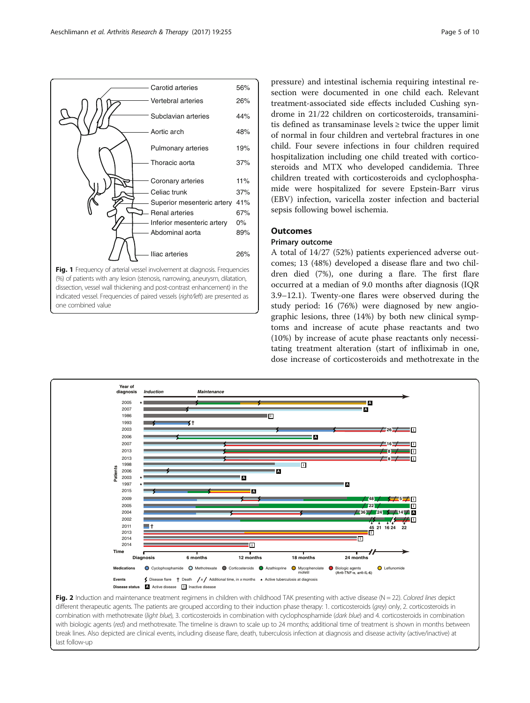<span id="page-4-0"></span>

(%) of patients with any lesion (stenosis, narrowing, aneurysm, dilatation, dissection, vessel wall thickening and post-contrast enhancement) in the indicated vessel. Frequencies of paired vessels (right/left) are presented as one combined value

pressure) and intestinal ischemia requiring intestinal resection were documented in one child each. Relevant treatment-associated side effects included Cushing syndrome in 21/22 children on corticosteroids, transaminitis defined as transaminase levels ≥ twice the upper limit of normal in four children and vertebral fractures in one child. Four severe infections in four children required hospitalization including one child treated with corticosteroids and MTX who developed candidemia. Three children treated with corticosteroids and cyclophosphamide were hospitalized for severe Epstein-Barr virus (EBV) infection, varicella zoster infection and bacterial sepsis following bowel ischemia.

### **Outcomes**

### Primary outcome

A total of 14/27 (52%) patients experienced adverse outcomes; 13 (48%) developed a disease flare and two children died (7%), one during a flare. The first flare occurred at a median of 9.0 months after diagnosis (IQR 3.9–12.1). Twenty-one flares were observed during the study period: 16 (76%) were diagnosed by new angiographic lesions, three (14%) by both new clinical symptoms and increase of acute phase reactants and two (10%) by increase of acute phase reactants only necessitating treatment alteration (start of infliximab in one, dose increase of corticosteroids and methotrexate in the



Fig. 2 Induction and maintenance treatment regimens in children with childhood TAK presenting with active disease (N = 22). Colored lines depict different therapeutic agents. The patients are grouped according to their induction phase therapy: 1. corticosteroids (grey) only, 2. corticosteroids in combination with methotrexate (light blue), 3. corticosteroids in combination with cyclophosphamide (dark blue) and 4. corticosteroids in combination with biologic agents (red) and methotrexate. The timeline is drawn to scale up to 24 months; additional time of treatment is shown in months between break lines. Also depicted are clinical events, including disease flare, death, tuberculosis infection at diagnosis and disease activity (active/inactive) at last follow-up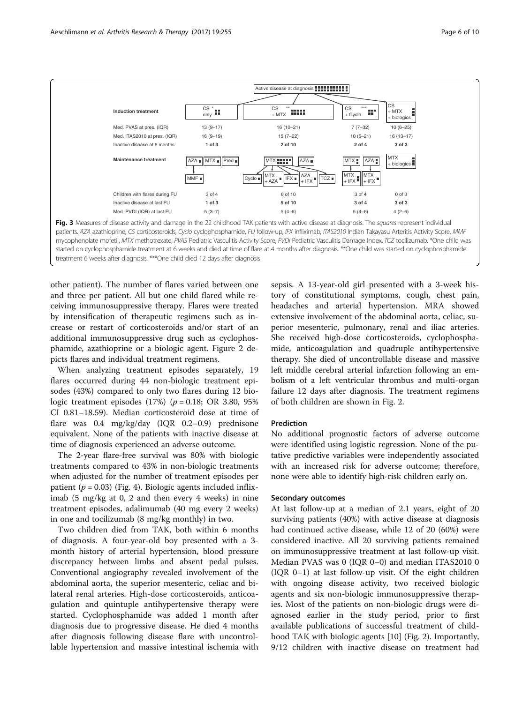<span id="page-5-0"></span>

other patient). The number of flares varied between one and three per patient. All but one child flared while receiving immunosuppressive therapy. Flares were treated by intensification of therapeutic regimens such as increase or restart of corticosteroids and/or start of an additional immunosuppressive drug such as cyclophosphamide, azathioprine or a biologic agent. Figure [2](#page-4-0) depicts flares and individual treatment regimens.

When analyzing treatment episodes separately, 19 flares occurred during 44 non-biologic treatment episodes (43%) compared to only two flares during 12 biologic treatment episodes  $(17%)$   $(p = 0.18; \text{ OR } 3.80, 95\%)$ CI 0.81–18.59). Median corticosteroid dose at time of flare was 0.4 mg/kg/day (IQR 0.2–0.9) prednisone equivalent. None of the patients with inactive disease at time of diagnosis experienced an adverse outcome.

The 2-year flare-free survival was 80% with biologic treatments compared to 43% in non-biologic treatments when adjusted for the number of treatment episodes per patient ( $p = 0.03$ ) (Fig. [4\)](#page-6-0). Biologic agents included infliximab (5 mg/kg at 0, 2 and then every 4 weeks) in nine treatment episodes, adalimumab (40 mg every 2 weeks) in one and tocilizumab (8 mg/kg monthly) in two.

Two children died from TAK, both within 6 months of diagnosis. A four-year-old boy presented with a 3 month history of arterial hypertension, blood pressure discrepancy between limbs and absent pedal pulses. Conventional angiography revealed involvement of the abdominal aorta, the superior mesenteric, celiac and bilateral renal arteries. High-dose corticosteroids, anticoagulation and quintuple antihypertensive therapy were started. Cyclophosphamide was added 1 month after diagnosis due to progressive disease. He died 4 months after diagnosis following disease flare with uncontrollable hypertension and massive intestinal ischemia with

sepsis. A 13-year-old girl presented with a 3-week history of constitutional symptoms, cough, chest pain, headaches and arterial hypertension. MRA showed extensive involvement of the abdominal aorta, celiac, superior mesenteric, pulmonary, renal and iliac arteries. She received high-dose corticosteroids, cyclophosphamide, anticoagulation and quadruple antihypertensive therapy. She died of uncontrollable disease and massive left middle cerebral arterial infarction following an embolism of a left ventricular thrombus and multi-organ failure 12 days after diagnosis. The treatment regimens of both children are shown in Fig. [2](#page-4-0).

### Prediction

No additional prognostic factors of adverse outcome were identified using logistic regression. None of the putative predictive variables were independently associated with an increased risk for adverse outcome; therefore, none were able to identify high-risk children early on.

### Secondary outcomes

At last follow-up at a median of 2.1 years, eight of 20 surviving patients (40%) with active disease at diagnosis had continued active disease, while 12 of 20 (60%) were considered inactive. All 20 surviving patients remained on immunosuppressive treatment at last follow-up visit. Median PVAS was 0 (IQR 0–0) and median ITAS2010 0 (IQR 0–1) at last follow-up visit. Of the eight children with ongoing disease activity, two received biologic agents and six non-biologic immunosuppressive therapies. Most of the patients on non-biologic drugs were diagnosed earlier in the study period, prior to first available publications of successful treatment of childhood TAK with biologic agents [\[10](#page-8-0)] (Fig. [2\)](#page-4-0). Importantly, 9/12 children with inactive disease on treatment had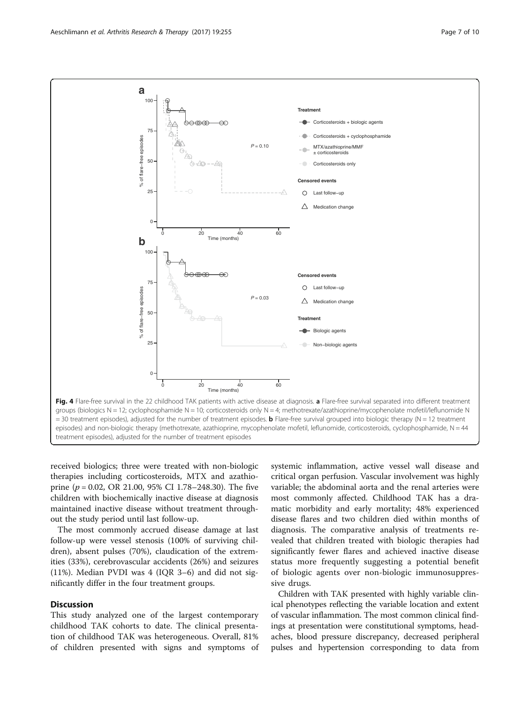<span id="page-6-0"></span>

received biologics; three were treated with non-biologic therapies including corticosteroids, MTX and azathioprine ( $p = 0.02$ , OR 21.00, 95% CI 1.78–248.30). The five children with biochemically inactive disease at diagnosis maintained inactive disease without treatment throughout the study period until last follow-up.

The most commonly accrued disease damage at last follow-up were vessel stenosis (100% of surviving children), absent pulses (70%), claudication of the extremities (33%), cerebrovascular accidents (26%) and seizures (11%). Median PVDI was 4 (IQR 3–6) and did not significantly differ in the four treatment groups.

### **Discussion**

This study analyzed one of the largest contemporary childhood TAK cohorts to date. The clinical presentation of childhood TAK was heterogeneous. Overall, 81% of children presented with signs and symptoms of

systemic inflammation, active vessel wall disease and critical organ perfusion. Vascular involvement was highly variable; the abdominal aorta and the renal arteries were most commonly affected. Childhood TAK has a dramatic morbidity and early mortality; 48% experienced disease flares and two children died within months of diagnosis. The comparative analysis of treatments revealed that children treated with biologic therapies had significantly fewer flares and achieved inactive disease status more frequently suggesting a potential benefit of biologic agents over non-biologic immunosuppressive drugs.

Children with TAK presented with highly variable clinical phenotypes reflecting the variable location and extent of vascular inflammation. The most common clinical findings at presentation were constitutional symptoms, headaches, blood pressure discrepancy, decreased peripheral pulses and hypertension corresponding to data from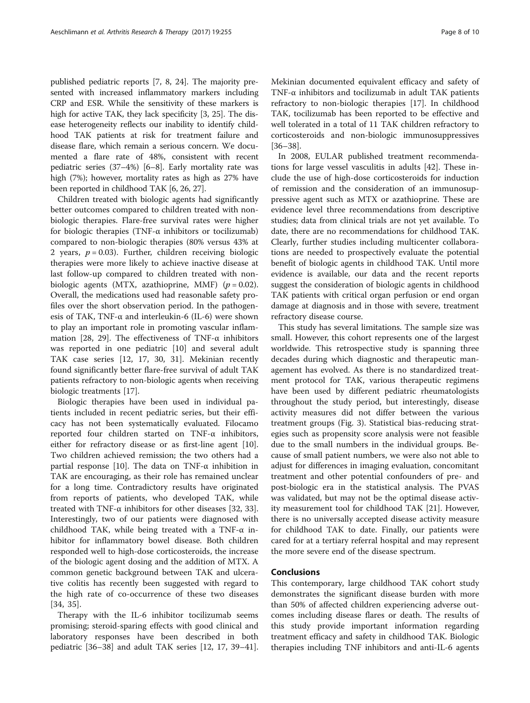published pediatric reports [[7](#page-8-0), [8,](#page-8-0) [24\]](#page-9-0). The majority presented with increased inflammatory markers including CRP and ESR. While the sensitivity of these markers is high for active TAK, they lack specificity [\[3,](#page-8-0) [25\]](#page-9-0). The disease heterogeneity reflects our inability to identify childhood TAK patients at risk for treatment failure and disease flare, which remain a serious concern. We documented a flare rate of 48%, consistent with recent pediatric series (37–4%) [\[6](#page-8-0)–[8\]](#page-8-0). Early mortality rate was high (7%); however, mortality rates as high as 27% have been reported in childhood TAK [\[6,](#page-8-0) [26](#page-9-0), [27\]](#page-9-0).

Children treated with biologic agents had significantly better outcomes compared to children treated with nonbiologic therapies. Flare-free survival rates were higher for biologic therapies (TNF-α inhibitors or tocilizumab) compared to non-biologic therapies (80% versus 43% at 2 years,  $p = 0.03$ ). Further, children receiving biologic therapies were more likely to achieve inactive disease at last follow-up compared to children treated with nonbiologic agents (MTX, azathioprine, MMF) ( $p = 0.02$ ). Overall, the medications used had reasonable safety profiles over the short observation period. In the pathogenesis of TAK, TNF- $\alpha$  and interleukin-6 (IL-6) were shown to play an important role in promoting vascular inflam-mation [\[28](#page-9-0), [29\]](#page-9-0). The effectiveness of TNF- $\alpha$  inhibitors was reported in one pediatric [[10\]](#page-8-0) and several adult TAK case series [\[12](#page-8-0), [17](#page-8-0), [30, 31\]](#page-9-0). Mekinian recently found significantly better flare-free survival of adult TAK patients refractory to non-biologic agents when receiving biologic treatments [[17\]](#page-8-0).

Biologic therapies have been used in individual patients included in recent pediatric series, but their efficacy has not been systematically evaluated. Filocamo reported four children started on TNF-α inhibitors, either for refractory disease or as first-line agent [\[10](#page-8-0)]. Two children achieved remission; the two others had a partial response [\[10\]](#page-8-0). The data on TNF-α inhibition in TAK are encouraging, as their role has remained unclear for a long time. Contradictory results have originated from reports of patients, who developed TAK, while treated with TNF- $\alpha$  inhibitors for other diseases [\[32](#page-9-0), [33](#page-9-0)]. Interestingly, two of our patients were diagnosed with childhood TAK, while being treated with a TNF- $\alpha$  inhibitor for inflammatory bowel disease. Both children responded well to high-dose corticosteroids, the increase of the biologic agent dosing and the addition of MTX. A common genetic background between TAK and ulcerative colitis has recently been suggested with regard to the high rate of co-occurrence of these two diseases [[34, 35](#page-9-0)].

Therapy with the IL-6 inhibitor tocilizumab seems promising; steroid-sparing effects with good clinical and laboratory responses have been described in both pediatric [\[36](#page-9-0)–[38\]](#page-9-0) and adult TAK series [\[12, 17,](#page-8-0) [39](#page-9-0)–[41](#page-9-0)]. Mekinian documented equivalent efficacy and safety of TNF-α inhibitors and tocilizumab in adult TAK patients refractory to non-biologic therapies [\[17\]](#page-8-0). In childhood TAK, tocilizumab has been reported to be effective and well tolerated in a total of 11 TAK children refractory to corticosteroids and non-biologic immunosuppressives [[36](#page-9-0)–[38](#page-9-0)].

In 2008, EULAR published treatment recommendations for large vessel vasculitis in adults [[42\]](#page-9-0). These include the use of high-dose corticosteroids for induction of remission and the consideration of an immunosuppressive agent such as MTX or azathioprine. These are evidence level three recommendations from descriptive studies; data from clinical trials are not yet available. To date, there are no recommendations for childhood TAK. Clearly, further studies including multicenter collaborations are needed to prospectively evaluate the potential benefit of biologic agents in childhood TAK. Until more evidence is available, our data and the recent reports suggest the consideration of biologic agents in childhood TAK patients with critical organ perfusion or end organ damage at diagnosis and in those with severe, treatment refractory disease course.

This study has several limitations. The sample size was small. However, this cohort represents one of the largest worldwide. This retrospective study is spanning three decades during which diagnostic and therapeutic management has evolved. As there is no standardized treatment protocol for TAK, various therapeutic regimens have been used by different pediatric rheumatologists throughout the study period, but interestingly, disease activity measures did not differ between the various treatment groups (Fig. [3](#page-5-0)). Statistical bias-reducing strategies such as propensity score analysis were not feasible due to the small numbers in the individual groups. Because of small patient numbers, we were also not able to adjust for differences in imaging evaluation, concomitant treatment and other potential confounders of pre- and post-biologic era in the statistical analysis. The PVAS was validated, but may not be the optimal disease activity measurement tool for childhood TAK [[21\]](#page-8-0). However, there is no universally accepted disease activity measure for childhood TAK to date. Finally, our patients were cared for at a tertiary referral hospital and may represent the more severe end of the disease spectrum.

### Conclusions

This contemporary, large childhood TAK cohort study demonstrates the significant disease burden with more than 50% of affected children experiencing adverse outcomes including disease flares or death. The results of this study provide important information regarding treatment efficacy and safety in childhood TAK. Biologic therapies including TNF inhibitors and anti-IL-6 agents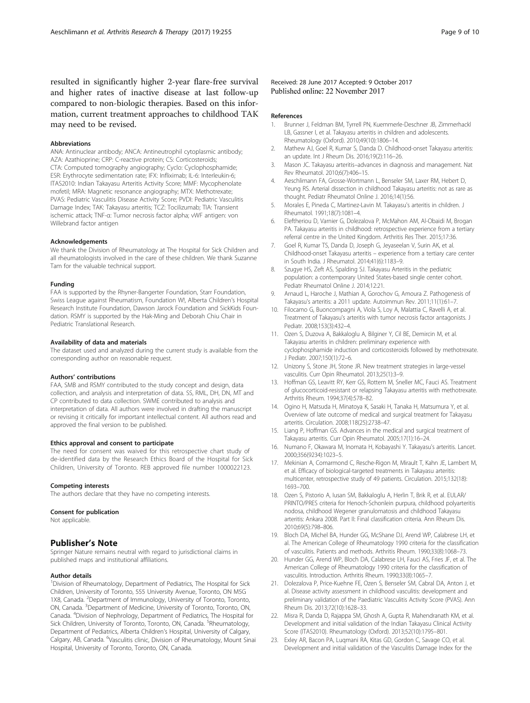<span id="page-8-0"></span>resulted in significantly higher 2-year flare-free survival and higher rates of inactive disease at last follow-up compared to non-biologic therapies. Based on this information, current treatment approaches to childhood TAK may need to be revised.

#### Abbreviations

ANA: Antinuclear antibody; ANCA: Antineutrophil cytoplasmic antibody; AZA: Azathioprine; CRP: C-reactive protein; CS: Corticosteroids; CTA: Computed tomography angiography; Cyclo: Cyclophosphamide; ESR: Erythrocyte sedimentation rate; IFX: Infliximab; IL-6: Interleukin-6; ITAS2010: Indian Takayasu Arteritis Activity Score; MMF: Mycophenolate mofetil; MRA: Magnetic resonance angiography; MTX: Methotrexate; PVAS: Pediatric Vasculitis Disease Activity Score; PVDI: Pediatric Vasculitis Damage Index; TAK: Takayasu arteritis; TCZ: Tocilizumab; TIA: Transient ischemic attack; TNF-α: Tumor necrosis factor alpha; vWF antigen: von Willebrand factor antigen

#### Acknowledgements

We thank the Division of Rheumatology at The Hospital for Sick Children and all rheumatologists involved in the care of these children. We thank Suzanne Tam for the valuable technical support.

#### Funding

FAA is supported by the Rhyner-Bangerter Foundation, Starr Foundation, Swiss League against Rheumatism, Foundation W!, Alberta Children's Hospital Research Institute Foundation, Dawson Jarock Foundation and SickKids Foundation. RSMY is supported by the Hak-Ming and Deborah Chiu Chair in Pediatric Translational Research.

#### Availability of data and materials

The dataset used and analyzed during the current study is available from the corresponding author on reasonable request.

#### Authors' contributions

FAA, SMB and RSMY contributed to the study concept and design, data collection, and analysis and interpretation of data. SS, RML, DH, DN, MT and CP contributed to data collection. SWME contributed to analysis and interpretation of data. All authors were involved in drafting the manuscript or revising it critically for important intellectual content. All authors read and approved the final version to be published.

#### Ethics approval and consent to participate

The need for consent was waived for this retrospective chart study of de-identified data by the Research Ethics Board of the Hospital for Sick Children, University of Toronto. REB approved file number 1000022123.

#### Competing interests

The authors declare that they have no competing interests.

#### Consent for publication

Not applicable.

### Publisher's Note

Springer Nature remains neutral with regard to jurisdictional claims in published maps and institutional affiliations.

#### Author details

<sup>1</sup> Division of Rheumatology, Department of Pediatrics, The Hospital for Sick Children, University of Toronto, 555 University Avenue, Toronto, ON M5G 1X8, Canada. <sup>2</sup>Department of Immunology, University of Toronto, Toronto, ON, Canada. <sup>3</sup>Department of Medicine, University of Toronto, Toronto, ON, Canada. <sup>4</sup> Division of Nephrology, Department of Pediatrics, The Hospital for Sick Children, University of Toronto, Toronto, ON, Canada. <sup>5</sup>Rheumatology, Department of Pediatrics, Alberta Children's Hospital, University of Calgary, Calgary, AB, Canada. <sup>6</sup>Vasculitis clinic, Division of Rheumatology, Mount Sinai Hospital, University of Toronto, Toronto, ON, Canada.

### Received: 28 June 2017 Accepted: 9 October 2017 Published online: 22 November 2017

#### References

- 1. Brunner J, Feldman BM, Tyrrell PN, Kuemmerle-Deschner JB, Zimmerhackl LB, Gassner I, et al. Takayasu arteritis in children and adolescents. Rheumatology (Oxford). 2010;49(10):1806–14.
- 2. Mathew AJ, Goel R, Kumar S, Danda D. Childhood-onset Takayasu arteritis: an update. Int J Rheum Dis. 2016;19(2):116–26.
- 3. Mason JC. Takayasu arteritis–advances in diagnosis and management. Nat Rev Rheumatol. 2010;6(7):406–15.
- 4. Aeschlimann FA, Grosse-Wortmann L, Benseler SM, Laxer RM, Hebert D, Yeung RS. Arterial dissection in childhood Takayasu arteritis: not as rare as thought. Pediatr Rheumatol Online J. 2016;14(1):56.
- 5. Morales E, Pineda C, Martinez-Lavin M. Takayasu's arteritis in children. J Rheumatol. 1991;18(7):1081–4.
- 6. Eleftheriou D, Varnier G, Dolezalova P, McMahon AM, Al-Obaidi M, Brogan PA. Takayasu arteritis in childhood: retrospective experience from a tertiary referral centre in the United Kingdom. Arthritis Res Ther. 2015;17:36.
- 7. Goel R, Kumar TS, Danda D, Joseph G, Jeyaseelan V, Surin AK, et al. Childhood-onset Takayasu arteritis – experience from a tertiary care center in South India. J Rheumatol. 2014;41(6):1183–9.
- 8. Szugye HS, Zeft AS, Spalding SJ. Takayasu Arteritis in the pediatric population: a contemporary United States-based single center cohort. Pediatr Rheumatol Online J. 2014;12:21.
- 9. Arnaud L, Haroche J, Mathian A, Gorochov G, Amoura Z. Pathogenesis of Takayasu's arteritis: a 2011 update. Autoimmun Rev. 2011;11(1):61–7.
- 10. Filocamo G, Buoncompagni A, Viola S, Loy A, Malattia C, Ravelli A, et al. Treatment of Takayasu's arteritis with tumor necrosis factor antagonists. J Pediatr. 2008;153(3):432–4.
- 11. Ozen S, Duzova A, Bakkaloglu A, Bilginer Y, Cil BE, Demircin M, et al. Takayasu arteritis in children: preliminary experience with cyclophosphamide induction and corticosteroids followed by methotrexate. J Pediatr. 2007;150(1):72–6.
- 12. Unizony S, Stone JH, Stone JR. New treatment strategies in large-vessel vasculitis. Curr Opin Rheumatol. 2013;25(1):3–9.
- 13. Hoffman GS, Leavitt RY, Kerr GS, Rottem M, Sneller MC, Fauci AS. Treatment of glucocorticoid-resistant or relapsing Takayasu arteritis with methotrexate. Arthritis Rheum. 1994;37(4):578–82.
- 14. Ogino H, Matsuda H, Minatoya K, Sasaki H, Tanaka H, Matsumura Y, et al. Overview of late outcome of medical and surgical treatment for Takayasu arteritis. Circulation. 2008;118(25):2738–47.
- 15. Liang P, Hoffman GS. Advances in the medical and surgical treatment of Takayasu arteritis. Curr Opin Rheumatol. 2005;17(1):16–24.
- 16. Numano F, Okawara M, Inomata H, Kobayashi Y. Takayasu's arteritis. Lancet. 2000;356(9234):1023–5.
- 17. Mekinian A, Comarmond C, Resche-Rigon M, Mirault T, Kahn JE, Lambert M, et al. Efficacy of biological-targeted treatments in Takayasu arteritis: multicenter, retrospective study of 49 patients. Circulation. 2015;132(18): 1693–700.
- 18. Ozen S, Pistorio A, Iusan SM, Bakkaloglu A, Herlin T, Brik R, et al. EULAR/ PRINTO/PRES criteria for Henoch-Schonlein purpura, childhood polyarteritis nodosa, childhood Wegener granulomatosis and childhood Takayasu arteritis: Ankara 2008. Part II: Final classification criteria. Ann Rheum Dis. 2010;69(5):798–806.
- 19. Bloch DA, Michel BA, Hunder GG, McShane DJ, Arend WP, Calabrese LH, et al. The American College of Rheumatology 1990 criteria for the classification of vasculitis. Patients and methods. Arthritis Rheum. 1990;33(8):1068–73.
- 20. Hunder GG, Arend WP, Bloch DA, Calabrese LH, Fauci AS, Fries JF, et al. The American College of Rheumatology 1990 criteria for the classification of vasculitis. Introduction. Arthritis Rheum. 1990;33(8):1065–7.
- 21. Dolezalova P, Price-Kuehne FE, Ozen S, Benseler SM, Cabral DA, Anton J, et al. Disease activity assessment in childhood vasculitis: development and preliminary validation of the Paediatric Vasculitis Activity Score (PVAS). Ann Rheum Dis. 2013;72(10):1628–33.
- 22. Misra R, Danda D, Rajappa SM, Ghosh A, Gupta R, Mahendranath KM, et al. Development and initial validation of the Indian Takayasu Clinical Activity Score (ITAS2010). Rheumatology (Oxford). 2013;52(10):1795–801.
- 23. Exley AR, Bacon PA, Luqmani RA, Kitas GD, Gordon C, Savage CO, et al. Development and initial validation of the Vasculitis Damage Index for the